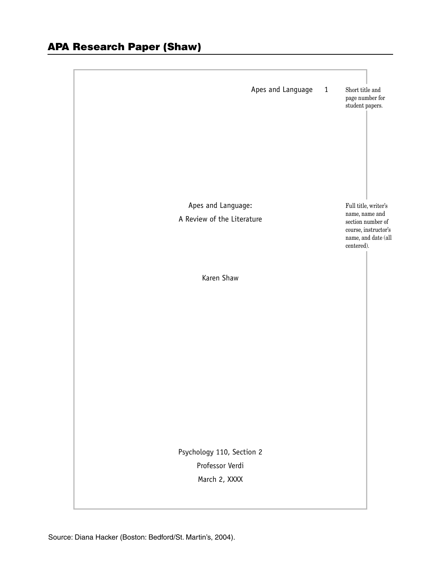|                                  | Apes and Language | $\mathbf{1}$ | Short title and<br>page number for<br>student papers.                                            |
|----------------------------------|-------------------|--------------|--------------------------------------------------------------------------------------------------|
|                                  |                   |              |                                                                                                  |
|                                  |                   |              |                                                                                                  |
| Apes and Language:               |                   |              | Full title, writer's                                                                             |
| A Review of the Literature       |                   |              | name, name and<br>section number of<br>course, instructor's<br>name, and date (all<br>centered). |
| Karen Shaw                       |                   |              |                                                                                                  |
|                                  |                   |              |                                                                                                  |
|                                  |                   |              |                                                                                                  |
|                                  |                   |              |                                                                                                  |
|                                  |                   |              |                                                                                                  |
|                                  |                   |              |                                                                                                  |
|                                  |                   |              |                                                                                                  |
|                                  |                   |              |                                                                                                  |
|                                  |                   |              |                                                                                                  |
|                                  |                   |              |                                                                                                  |
|                                  |                   |              |                                                                                                  |
| Psychology 110, Section 2        |                   |              |                                                                                                  |
| Professor Verdi<br>March 2, XXXX |                   |              |                                                                                                  |
|                                  |                   |              |                                                                                                  |
|                                  |                   |              |                                                                                                  |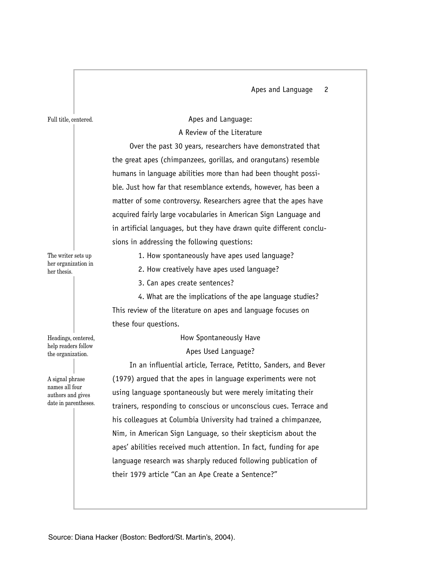Apes and Language 2

Full title, centered.

Apes and Language:

# A Review of the Literature

Over the past 30 years, researchers have demonstrated that the great apes (chimpanzees, gorillas, and orangutans) resemble humans in language abilities more than had been thought possible. Just how far that resemblance extends, however, has been a matter of some controversy. Researchers agree that the apes have acquired fairly large vocabularies in American Sign Language and in artificial languages, but they have drawn quite different conclusions in addressing the following questions:

1. How spontaneously have apes used language?

The writer sets up her organization in her thesis.

2. How creatively have apes used language?

3. Can apes create sentences?

4. What are the implications of the ape language studies? This review of the literature on apes and language focuses on these four questions.

### How Spontaneously Have

Apes Used Language?

In an influential article, Terrace, Petitto, Sanders, and Bever (1979) argued that the apes in language experiments were not using language spontaneously but were merely imitating their trainers, responding to conscious or unconscious cues. Terrace and his colleagues at Columbia University had trained a chimpanzee, Nim, in American Sign Language, so their skepticism about the apes' abilities received much attention. In fact, funding for ape language research was sharply reduced following publication of their 1979 article "Can an Ape Create a Sentence?"

Headings, centered, help readers follow the organization.

A signal phrase names all four authors and gives date in parentheses.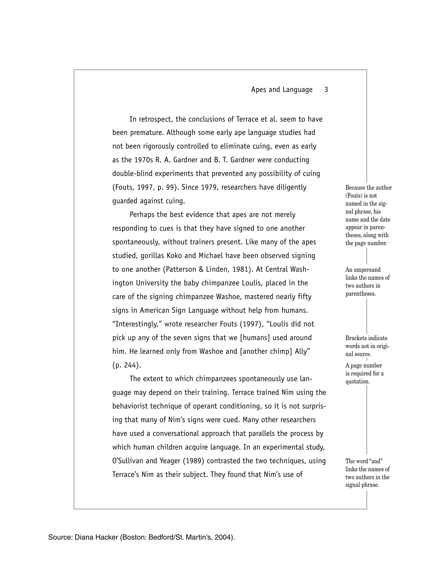### Apes and Language 3

In retrospect, the conclusions of Terrace et al. seem to have been premature. Although some early ape language studies had not been rigorously controlled to eliminate cuing, even as early as the 1970s R. A. Gardner and B. T. Gardner were conducting double-blind experiments that prevented any possibility of cuing (Fouts, 1997, p. 99). Since 1979, researchers have diligently guarded against cuing.

Perhaps the best evidence that apes are not merely responding to cues is that they have signed to one another spontaneously, without trainers present. Like many of the apes studied, gorillas Koko and Michael have been observed signing to one another (Patterson & Linden, 1981). At Central Washington University the baby chimpanzee Loulis, placed in the care of the signing chimpanzee Washoe, mastered nearly fifty signs in American Sign Language without help from humans. "Interestingly," wrote researcher Fouts (1997), "Loulis did not pick up any of the seven signs that we [humans] used around him. He learned only from Washoe and [another chimp] Ally" (p. 244).

The extent to which chimpanzees spontaneously use language may depend on their training. Terrace trained Nim using the behaviorist technique of operant conditioning, so it is not surprising that many of Nim's signs were cued. Many other researchers have used a conversational approach that parallels the process by which human children acquire language. In an experimental study, O'Sullivan and Yeager (1989) contrasted the two techniques, using Terrace's Nim as their subject. They found that Nim's use of

Because the author (Fouts) is not named in the signal phrase, his name and the date appear in parentheses, along with the page number.

An ampersand links the names of two authors in parentheses.

Brackets indicate words not in original source.

A page number is required for a quotation.

The word "and" links the names of two authors in the signal phrase.

Source: Diana Hacker (Boston: Bedford/St. Martin's, 2004).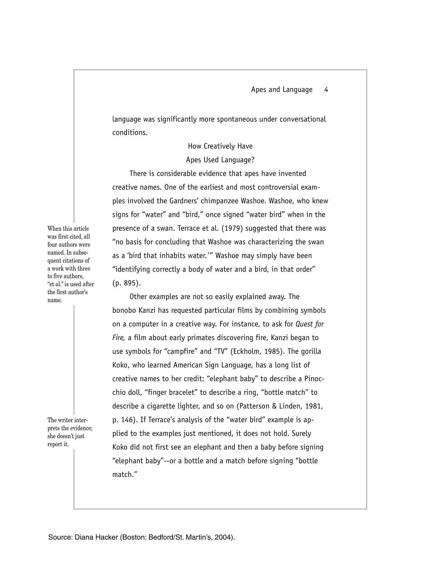language was significantly more spontaneous under conversational conditions.

# How Creatively Have Apes Used Language?

There is considerable evidence that apes have invented creative names. One of the earliest and most controversial examples involved the Gardners' chimpanzee Washoe. Washoe, who knew signs for "water" and "bird," once signed "water bird" when in the presence of a swan. Terrace et al. (1979) suggested that there was "no basis for concluding that Washoe was characterizing the swan as a 'bird that inhabits water.'" Washoe may simply have been "identifying correctly a body of water and a bird, in that order" (p. 895).

When this article was first cited, all four authors were named. In subsequent citations of a work with three to five authors, "et al." is used after the first author's name.

The writer interprets the evidence; she doesn't just report it.

Other examples are not so easily explained away. The bonobo Kanzi has requested particular films by combining symbols on a computer in a creative way. For instance, to ask for *Quest for Fire,* a film about early primates discovering fire, Kanzi began to use symbols for "campfire" and "TV" (Eckholm, 1985). The gorilla Koko, who learned American Sign Language, has a long list of creative names to her credit: "elephant baby" to describe a Pinocchio doll, "finger bracelet" to describe a ring, "bottle match" to describe a cigarette lighter, and so on (Patterson & Linden, 1981, p. 146). If Terrace's analysis of the "water bird" example is applied to the examples just mentioned, it does not hold. Surely Koko did not first see an elephant and then a baby before signing "elephant baby"--or a bottle and a match before signing "bottle match."

Source: Diana Hacker (Boston: Bedford/St. Martin's, 2004).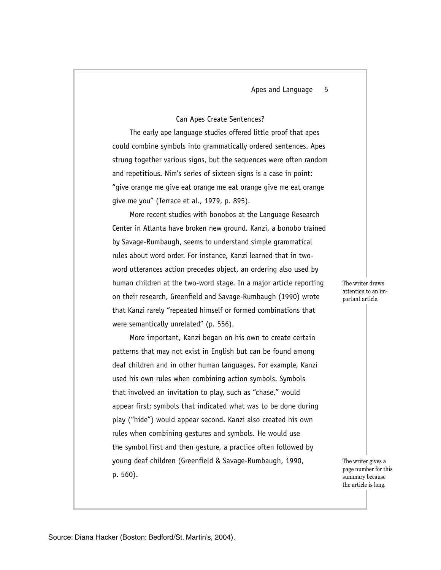# Can Apes Create Sentences?

The early ape language studies offered little proof that apes could combine symbols into grammatically ordered sentences. Apes strung together various signs, but the sequences were often random and repetitious. Nim's series of sixteen signs is a case in point: "give orange me give eat orange me eat orange give me eat orange give me you" (Terrace et al., 1979, p. 895).

More recent studies with bonobos at the Language Research Center in Atlanta have broken new ground. Kanzi, a bonobo trained by Savage-Rumbaugh, seems to understand simple grammatical rules about word order. For instance, Kanzi learned that in twoword utterances action precedes object, an ordering also used by human children at the two-word stage. In a major article reporting on their research, Greenfield and Savage-Rumbaugh (1990) wrote that Kanzi rarely "repeated himself or formed combinations that were semantically unrelated" (p. 556).

More important, Kanzi began on his own to create certain patterns that may not exist in English but can be found among deaf children and in other human languages. For example, Kanzi used his own rules when combining action symbols. Symbols that involved an invitation to play, such as "chase," would appear first; symbols that indicated what was to be done during play ("hide") would appear second. Kanzi also created his own rules when combining gestures and symbols. He would use the symbol first and then gesture, a practice often followed by young deaf children (Greenfield & Savage-Rumbaugh, 1990, p. 560).

The writer draws attention to an important article.

The writer gives a page number for this summary because the article is long.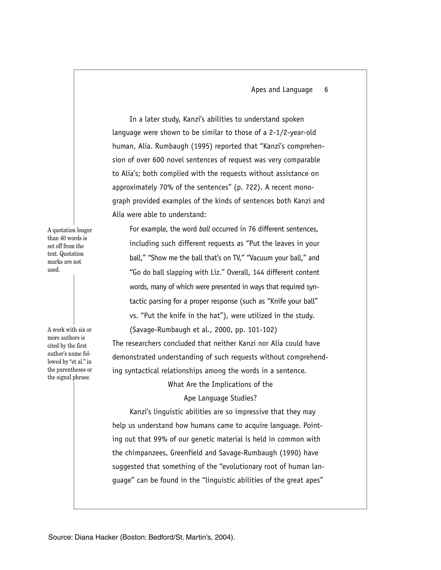In a later study, Kanzi's abilities to understand spoken language were shown to be similar to those of a 2-1/2-year-old human, Alia. Rumbaugh (1995) reported that "Kanzi's comprehension of over 600 novel sentences of request was very comparable to Alia's; both complied with the requests without assistance on approximately 70% of the sentences" (p. 722). A recent monograph provided examples of the kinds of sentences both Kanzi and Alia were able to understand:

A quotation longer than 40 words is set off from the text. Quotation marks are not used.

For example, the word *ball* occurred in 76 different sentences, including such different requests as "Put the leaves in your ball," "Show me the ball that's on TV," "Vacuum your ball," and "Go do ball slapping with Liz." Overall, 144 different content words, many of which were presented in ways that required syntactic parsing for a proper response (such as "Knife your ball" vs. "Put the knife in the hat"), were utilized in the study. (Savage-Rumbaugh et al., 2000, pp. 101-102)

The researchers concluded that neither Kanzi nor Alia could have demonstrated understanding of such requests without comprehending syntactical relationships among the words in a sentence.

What Are the Implications of the

Ape Language Studies?

Kanzi's linguistic abilities are so impressive that they may help us understand how humans came to acquire language. Pointing out that 99% of our genetic material is held in common with the chimpanzees, Greenfield and Savage-Rumbaugh (1990) have suggested that something of the "evolutionary root of human language" can be found in the "linguistic abilities of the great apes"

A work with six or more authors is cited by the first author's name followed by "et al." in the parentheses or the signal phrase.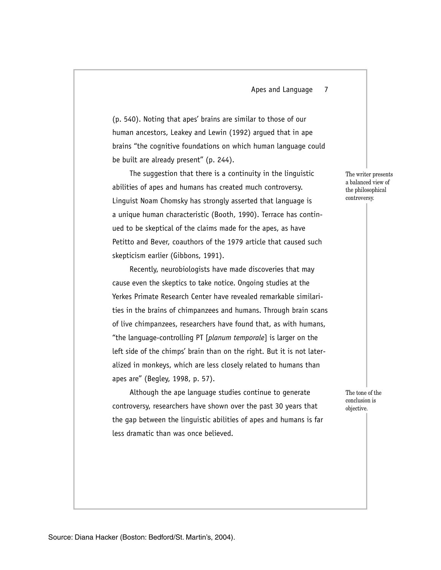### Apes and Language 7

(p. 540). Noting that apes' brains are similar to those of our human ancestors, Leakey and Lewin (1992) argued that in ape brains "the cognitive foundations on which human language could be built are already present" (p. 244).

The suggestion that there is a continuity in the linguistic abilities of apes and humans has created much controversy. Linguist Noam Chomsky has strongly asserted that language is a unique human characteristic (Booth, 1990). Terrace has continued to be skeptical of the claims made for the apes, as have Petitto and Bever, coauthors of the 1979 article that caused such skepticism earlier (Gibbons, 1991).

Recently, neurobiologists have made discoveries that may cause even the skeptics to take notice. Ongoing studies at the Yerkes Primate Research Center have revealed remarkable similarities in the brains of chimpanzees and humans. Through brain scans of live chimpanzees, researchers have found that, as with humans, "the language-controlling PT [*planum temporale*] is larger on the left side of the chimps' brain than on the right. But it is not lateralized in monkeys, which are less closely related to humans than apes are" (Begley, 1998, p. 57).

Although the ape language studies continue to generate controversy, researchers have shown over the past 30 years that the gap between the linguistic abilities of apes and humans is far less dramatic than was once believed.

The writer presents a balanced view of the philosophical controversy.

The tone of the conclusion is objective.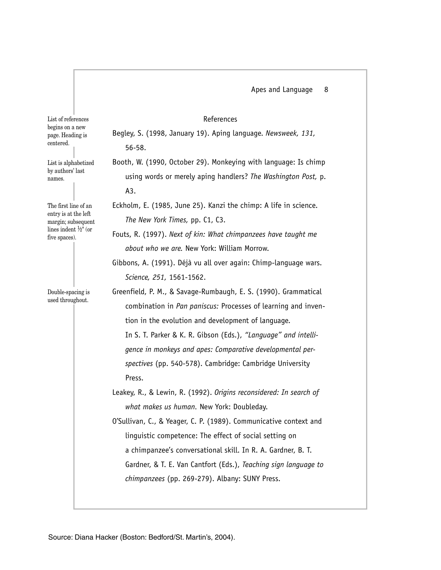# References

List of references begins on a new page. Heading is centered.

List is alphabetized by authors' last names.

The first line of an entry is at the left margin; subsequent lines indent <sup>1</sup> ⁄2" (or five spaces).

Double-spacing is used throughout.

Begley, S. (1998, January 19). Aping language. *Newsweek, 131,*  56-58.

Booth, W. (1990, October 29). Monkeying with language: Is chimp using words or merely aping handlers? *The Washington Post,* p. A3.

Eckholm, E. (1985, June 25). Kanzi the chimp: A life in science. *The New York Times,* pp. C1, C3.

Fouts, R. (1997). *Next of kin: What chimpanzees have taught me about who we are.* New York: William Morrow.

Gibbons, A. (1991). Déjà vu all over again: Chimp-language wars. *Science, 251,* 1561-1562.

Greenfield, P. M., & Savage-Rumbaugh, E. S. (1990). Grammatical combination in *Pan paniscus:* Processes of learning and invention in the evolution and development of language. In S. T. Parker & K. R. Gibson (Eds.), *"Language" and intelligence in monkeys and apes: Comparative developmental perspectives* (pp. 540-578). Cambridge: Cambridge University Press.

Leakey, R., & Lewin, R. (1992). *Origins reconsidered: In search of what makes us human.* New York: Doubleday.

O'Sullivan, C., & Yeager, C. P. (1989). Communicative context and linguistic competence: The effect of social setting on a chimpanzee's conversational skill. In R. A. Gardner, B. T. Gardner, & T. E. Van Cantfort (Eds.), *Teaching sign language to chimpanzees* (pp. 269-279). Albany: SUNY Press.